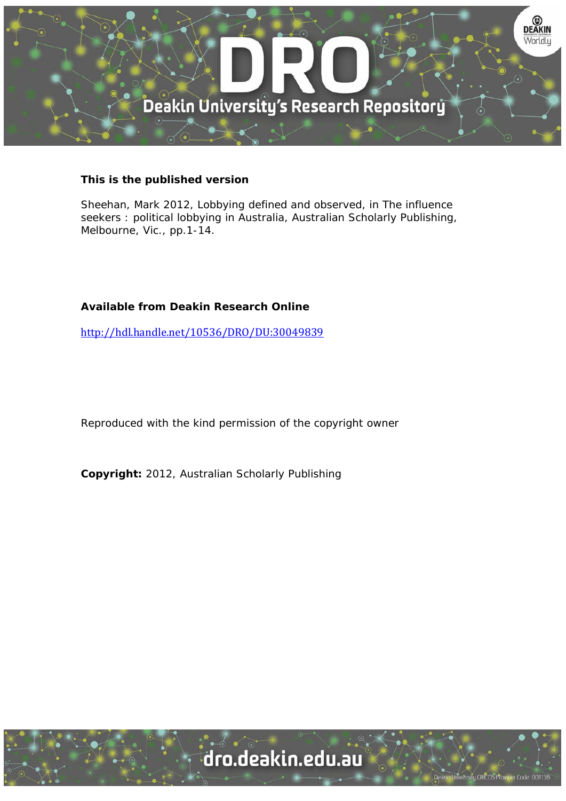

### **This is the published version**

Sheehan, Mark 2012, Lobbying defined and observed, in The influence seekers : political lobbying in Australia, Australian Scholarly Publishing, Melbourne, Vic., pp.1-14.

#### **Available from Deakin Research Online**

http://hdl.handle.net/10536/DRO/DU:30049839

Reproduced with the kind permission of the copyright owner

**Copyright:** 2012, Australian Scholarly Publishing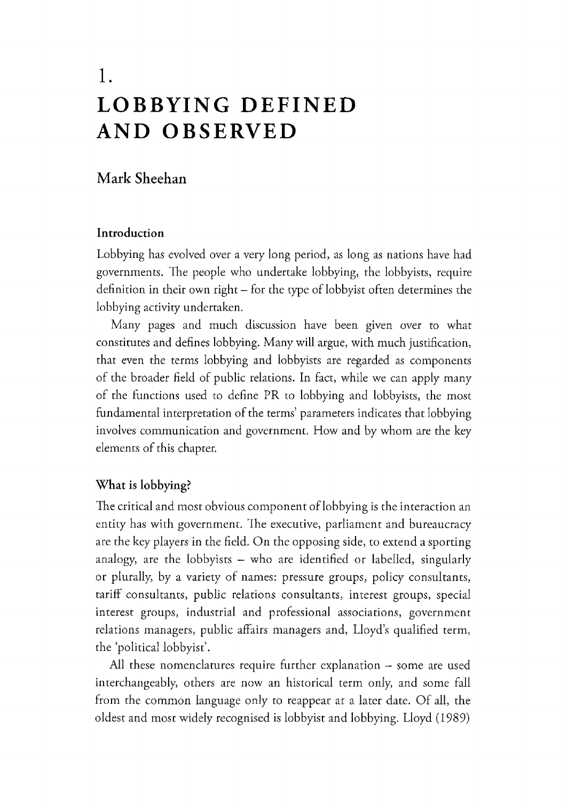# I . LOBBYING DEFINED AND OBSERVED

# Mark Sheehan

# Introduction

Lobbying has evolved over a very long period, as long as nations have had governments. The people who undertake lobbying, the lobbyists, require definition in their own right  $-$  for the type of lobbyist often determines the lobbying activity undertaken.

Many pages and much discussion have been given over to what constitutes and defines lobbying. Many will argue, with much justification, that even the terms lobbying and lobbyists are regarded as components of the broader field of public relations. In fact, while we can apply many of the functions used to define PR to lobbying and lobbyists, the most fundamental interpretation of the terms' parameters indicates that lobbying involves communication and government. How and by whom are the key elements of this chapter.

# What is lobbying?

The critical and most obvious component of lobbying is the interaction an entity has with government. The executive, parliament and bureaucracy are the key players in the field. On the opposing side, to extend a sporting analogy, are the lobbyists  $-$  who are identified or labelled, singularly or plurally, by a variety of names: pressure groups, policy consultants, tariff consultants, public relations consultants, interest groups, special interest groups, industrial and professional associations, government relations managers, public affairs managers and, Lloyd's qualified term, the 'political lobbyist'.

All these nomenclatures require further explanation  $-$  some are used interchangeably, others are now an historical term only, and some fall from the common language only to reappear at a later date. Of all, the oldestand most widely recognisedis lobbyist and lobbying. Lloyd (1989)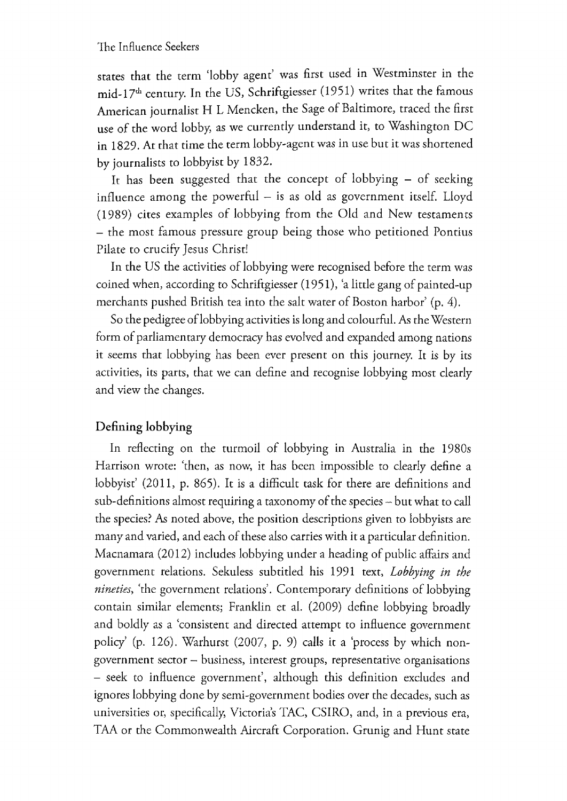states that the term 'lobby agent' was first used in Westminster in the mid-17<sup>th</sup> century. In the US, Schriftgiesser (1951) writes that the famous American journalist H L Mencken, the Sage of Baltimore, traced the first use of the word lobby, as we currently understand it, to Washington DC in 1829. At that time the term lobby-agent was in use but it was shortened by journalists to lobbyist by 1832.

It has been suggested that the concept of lobbying  $-$  of seeking influence among the powerful  $-$  is as old as government itself. Lloyd (1989) cites examples of lobbying from the Old and New testaments - the most famous pressure group being those who petitioned Pontius Pilate to crucify Jesus Christ!

In the US the activities of lobbying were recognised before the term was coined when, according to Schriftgiesser (1951), 'a little gang of painted-up merchants pushed British tea into the salt water of Boston harbor' (p. 4).

So the pedigree of lobbying activities is long and colourful. As the Western form of parliamentary democracy has evolved and expanded among nations it seems that lobbying has been ever present on this journey. It is by its activities, its parts, that we can define and recognise lobbying most clearly and view the changes.

# Defining lobbying

In reflecting on the turmoil of lobbying in Australia in the 1980s Harrison wrote: 'then, as now, it has been impossible to clearly define a lobbyist' (2011, p. 865). It is a difficult task for there are definitions and sub-definitions almost requiring a taxonomy of the species – but what to call the species? As noted above, the position descriptions given to lobbyists are many and varied, and each of these also carries with it a particular definition. Macnamara (2012) includes lobbying under a heading of public affairs and government relations. Sekuless subtitled his 1991 text, Lobbying in the nineties, 'the government relations'. Contemporary definitions of lobbying contain similar elements; Franklin et al. (2009) define lobbying broadly and boldly as a 'consistent and directed attempt to influence government policy' (p. 126). Warhurst  $(2007, p. 9)$  calls it a 'process by which nongovernment sector - business, interest groups, representative organisations - seek to influence government', although this definition excludes and ignores lobbying done by semi-government bodies over the decades, such as universities or, specifically, Victoria's TAC, CSIRO, and, in a previous era, TAA or the Commonwealth Aircraft Corporation. Grunig and Hunt state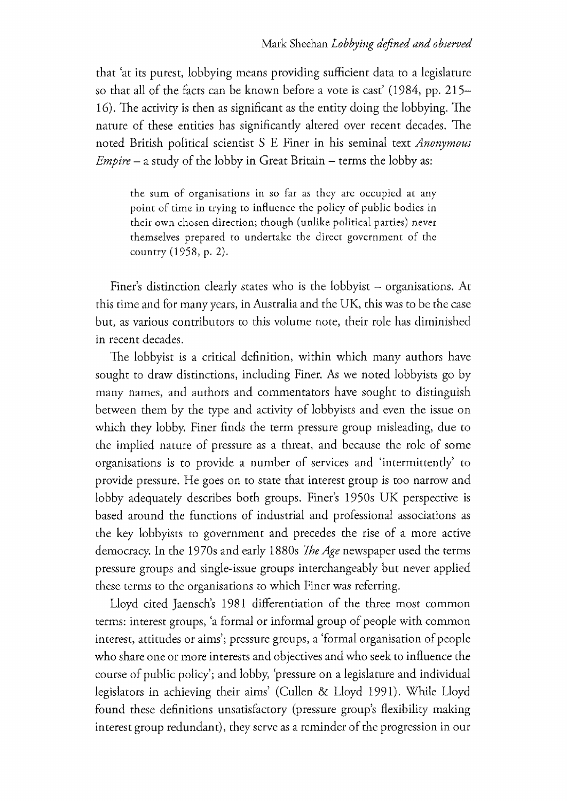that 'at its purest, lobbying means providing sufficient data to a legislature so that all of the facts can be known before a vote is cast' (1984, pp. 215-16). The activity is then as significant as the entity doing the lobbying. The nature of these entities has significantly altered over recent decades. The noted British political scientist S E Finer in his seminal text Anonymous  $Empire - a study of the lobby in Great Britain - terms the lobby as:$ 

the sum of organisations in so far as they are occupied at any point of time in trying to influence the policy of public bodies in their own chosen direction; though (unlike political parties) never themselves prepared to undertake the direct government of the country (1958, p. 2).

Finer's distinction clearly states who is the lobbyist  $-$  organisations. At this time and for many years, in Australia and the UK, this was to be the case but, as various contributors to this volume note, their role has diminished in recent decades.

The lobbyist is a critical definition, within which many authors have sought to draw distinctions, including Finer. As we noted lobbyists go by many names, and authors and commentators have sought to distinguish between them by the type and activity of lobbyists and even the issue on which they lobby. Finer finds the term pressure group misleading, due to the implied nature of pressure as a threat, and because the role of some organisations is to provide a number of services and 'intermittently' to provide pressure. He goes on to state that interest group is too narrow and lobby adequately describes both groups. Finer's 1950s UK perspective is based around the functions of industrial and professional associations as the key lobbyists to government and precedes the rise of a more active democracy. In the 1970s and early 1880s The Age newspaper used the terms pressure groups and single-issue groups interchangeably but never applied these terms to the organisations to which Finer was referring.

Lloyd cited Jaensch's 1981 differentiation of the three most common terms: interest groups, 'a formal or informal group of people with common interest, attitudes or aims'; pressure groups, a 'formal organisation of people who share one or more interests and objectives and who seek to influence the course of public policy'; and lobby, 'pressure on a legislature and individual legislators in achieving their aims' (Cullen & Lloyd 1991). While Lloyd found these definitions unsatisfactory (pressure group's flexibility making interest group redundant), they serve as a reminder of the progression in our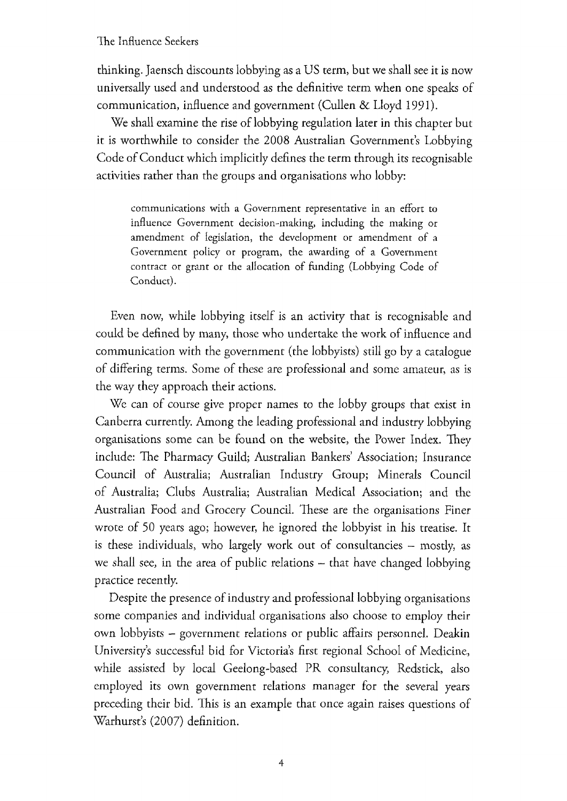thinking. Jaensch discounts lobbying as a US term, but we shall see it is now universally used and understood as the definitive term when one speaks of communication, influence and government (Cullen & Lloyd 1991).

We shall examine the rise of lobbying regulation later in this chapter but it is worthwhile to consider the 2008 Australian Government's Lobbying Code of Conduct which implicitly defines the term through its recognisable activities rather than the groups and organisations who lobby:

communications with a Government representative in an effort to influence Government decision-making, including the making or amendment of legislation, the development or amendment of a Government policy or program, the awarding of a Government contract or grant or the allocation of funding (Lobbying Code of Conduct).

Even now, while lobbying itself is an activity that is recognisable and could be defined by many, those who undertake the work of influence and communication with the government (the lobbyists) still go by a catalogue of differing terms. Some of these are professional and some amateur, as is the way they approach their actions.

We can of course give proper names to the lobby groups that exist in Canberra currently. Among the leading professional and industry lobbying organisations some can be found on the website, the Power Index. They include: The Pharmacy Guild; Australian Bankers' Association; Insurance Council of Australia; Australian Industry Group; Minerals Council of Australia; Clubs Australia; Australian Medical Association; and the Australian Food and Grocery Council. These are the organisations Finer wrote of 50 years ago; however, he ignored the lobbyist in his treatise. It is these individuals, who largely work out of consultancies - mostly, as we shall see, in the area of public relations  $-$  that have changed lobbying practice recently.

Despite the presence of industry and professional lobbying organisations some companies and individual organisations also choose to employ their own lobbyists - government relations or public affairs personnel. Deakin University's successful bid for Victoria's first regional School of Medicine, while assisted by local Geelong-based PR consultancy, Redstick, also employed its own government relations manager for the several years preceding their bid. This is an example that once again raises questions of Warhurst's (2007) definition.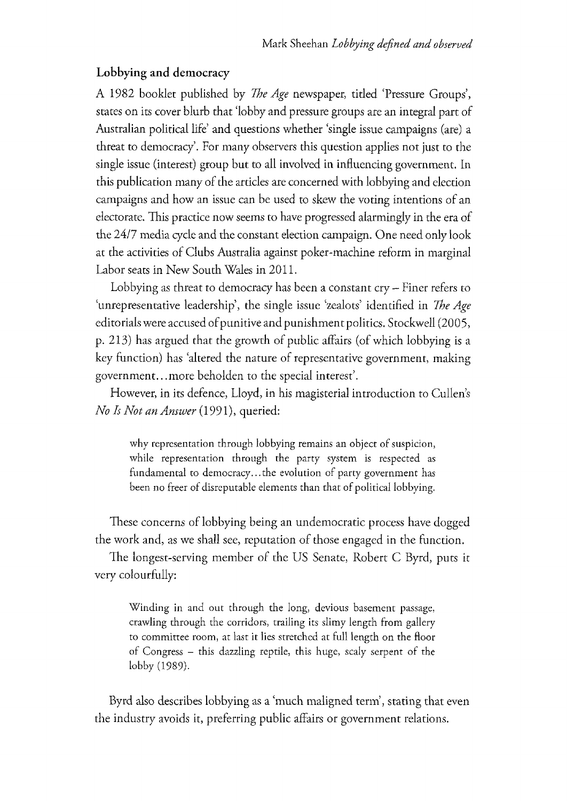## Lobbying and democracy

A 1982 booklet published by *The Age* newspaper, titled 'Pressure Groups', states on its cover blurb that 'lobby and pressure groups are an integral part of Australian political life' and questions whether 'single issue campaigns (are) a threat to democracy'. For many observers this question applies not just to the single issue (interest) group but to all involved in influencing government. In this publication many of the articles are concerned with lobbying and election campaigns and how an issue can be used to skew the voting intentions of an electorate. This practice now seems to have progressed alarmingly in the era of the 24/7 media cycle and the constant election campaign. One need only look at the activities of Clubs Australia against poker-machine reform in marginal Labor seats in New South Wales in 2011.

Lobbying as threat to democracy has been a constant  $\text{cry}$  – Finer refers to 'unrepresentative leadership', the single issue 'zealots' identified in The Age editorials were accused of punitive and punishment politics. Stockwell (2005, p. 213) has argued that the growth of public affairs (of which lobbying is a key function) has 'altered the nature of representative government, making government...more beholden to the special interest'.

However, in its defence, Lloyd, in his magisterial introduction to Cullen's No Is Not an Answer (1991), queried:

why representation through lobbying remains an object of suspicion, while representation through the party system is respected as fundamental to democracy... the evolution of party government has been no freer of disreputable elements than that of political lobbying.

These concerns of lobbying being an undemocratic process have dogged the work and, as we shall see, reputation of those engaged in the function.

The longest-serving member of the US Senate, Robert C Byrd, puts it very colourfully:

Winding in and out through the long, devious basement passage, crawling through the corridors, trailing its slimy length from gallery to committee room, at last it lies stretched at full length on the floor of Congress- this dazzling reptile, this huge, scaly serpent of the lobby (1989).

Byrd also describes lobbying as a 'much maligned term', stating that even the industry avoids it, preferring public affairs or government relations.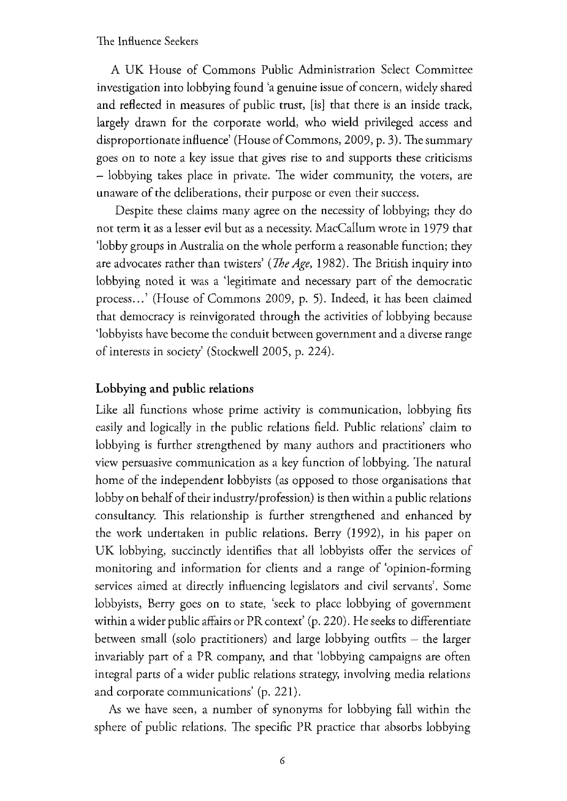A UK House of Commons Public Administration Select Committee investigation into lobbying found 'a genuine issue of concern, widely shared and reflected in measures of public trust, [is] that there is an inside track, largely drawn for the corporate world, who wield privileged access and disproportionate influence' (House of Commons, 2009, p. 3). The summary goes on to note a key issue that gives rise to and supports these criticisms  $-$  lobbying takes place in private. The wider community, the voters, are unaware of the deliberations, their purpose or even their success.

Despite these claims many agree on the necessity of lobbying; they do not term it as a lesser evil but as a necessity. MacCallum wrote in 1979 that 'lobby groups in Australia on the whole perform a reasonable function; they are advocates rather than twisters' (*The Age*, 1982). The British inquiry into lobbying noted it was a 'legitimate and necessary part of the democratic process...' (House of Commons 2009, p. 5). Indeed, it has been claimed that democracy is reinvigorated through the activities of lobbying because 'lobbyists have become the conduit between government and a diverse range of interests in society' (Stockwell 2005, p. 224).

## Lobbying and public relations

Like all functions whose prime activity is communication, lobbying firs easily and logically in the public relations field. Public relations' claim to lobbying is further strengthened by many authors and practitioners who view persuasive communication as a key function of lobbying. The natural home of the independent lobbyists (as opposed to those organisations that lobby on behalf of their industry/profession) is then within a public relations consultancy. This relationship is further strengthened and enhanced by the work undertaken in public relations. Berry (1992), in his paper on UK lobbying, succinctly identifies that all lobbyists offer the services of monitoring and information for clients and a range of 'opinion-forming services aimed at directly influencing legislators and civil servants'. Some lobbyists, Berry goes on to state, 'seek to place lobbying of government within a wider public affairs or PR context' (p. 220). He seeks to differentiate between small (solo practitioners) and large lobbying outfits  $-$  the larger invariably part of a PR company, and that 'lobbying campaigns are often integral parts of a wider public relations strategy, involving media relations and corporate communications' (p. 221).

As we have seen, a number of synonyms for lobbying fall within the sphere of public relations. The specific PR practice that absorbs lobbying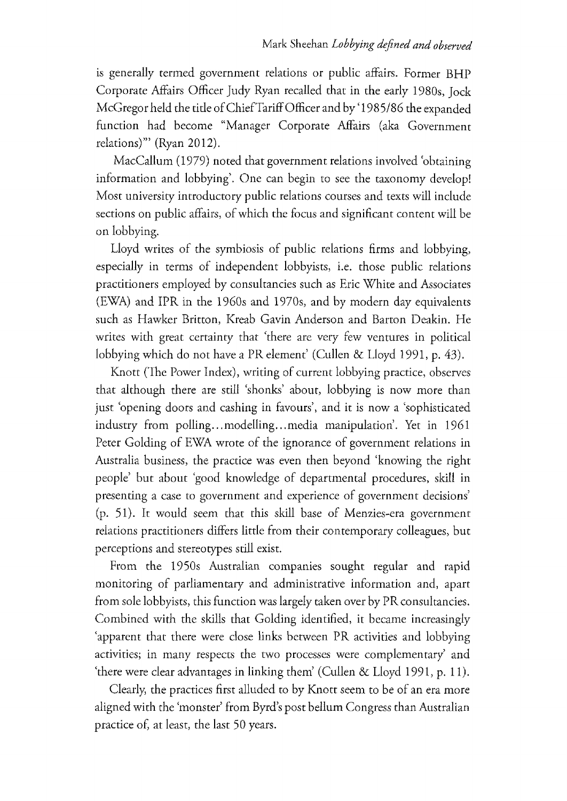is generally termed government relations or public affairs. Former BHP Corporate Affairs Officer Judy Ryan recalled that in the early 1980s, Jock McGregor held the title of Chief Tariff Officer and by '1985/86 the expanded function had become "Manager Corporate Affairs (aka Government relations)"' (Ryan 2012).

MacCallum (1979) noted that government relations involved 'obtaining information and lobbying'. One can begin to see the taxonomy develop! Most university introductory public relations courses and texts will include sections on public affairs, of which the focus and significant content will be on lobbying.

Lloyd writes of the symbiosis of public relations firms and lobbying, especially in terms of independent lobbyists, i.e. those public relations practitioners employed by consultancies such as Eric White and Associates (EWA) and IPR in the 1960s and 1970s, and by modern day equivalents such as Hawker Britton, Kreab Gavin Anderson and Barton Deakin. He writes with great certainty that 'there are very few ventures in political lobbying which do not have a PR element' (Cullen & Lloyd 1991, p. 43).

Knott (The Power Index), writing of current lobbying practice, observes that although there are still 'shonks' about, lobbying is now more than just 'opening doors and cashing in favours', and it is now a 'sophisticated industry from polling... modelling... media manipulation'. Yet in 1961 Peter Golding of EWA wrote of the ignorance of government relations in Australia business, the practice was even then beyond 'knowing the right people' but about 'good knowledge of departmental procedures, skill in presenting a case to government and experience of government decisions' (p. 51). It would seem that this skill base of Menzies-era government relations practitioners differs little from their contemporary colleagues, but perceptions and stereotypes still exist.

From the 1950s Australian companies sought regular and rapid monitoring of parliamentary and administrative information and, apart from sole lobbyists, this function was largely taken over by PR consultancies. Combined with the skills that Golding identified, it became increasingly 'apparent that there were close links between PR activities and lobbying activities; in many respects the two processes were complementary' and 'there were clear advantages in linking them' (Cullen & Lloyd 1991, p. 11).

Clearly, the practices first alluded to by Knott seem to be of an era more aligned with the 'monster' from Byrd's post bellum Congress than Australian practice of, at least, the last 50 years.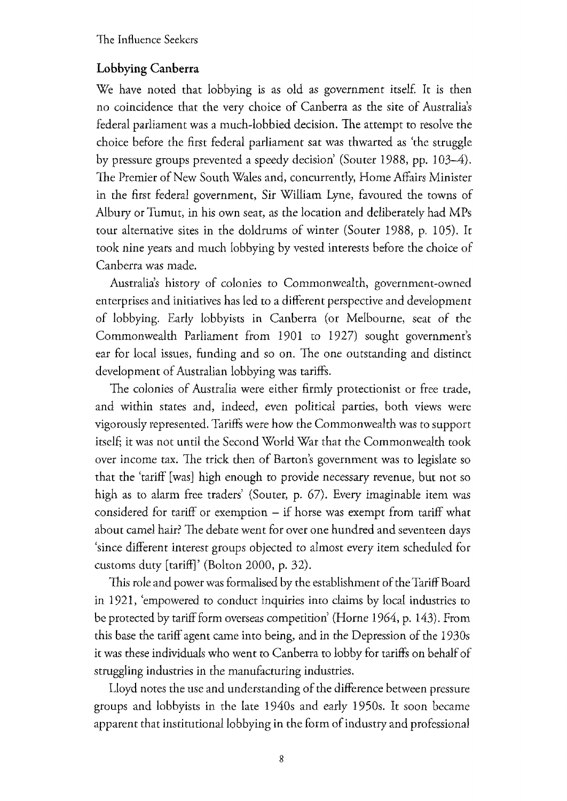# Lobbying Canberra

We have noted that lobbying is as old as government itself. It is then no coincidence that the very choice of Canberra as the site of Australia's federal parliament was a much-lobbied decision. The attempt to resolve the choice before the first federal parliament sat was thwarted as 'the struggle by pressure groups prevented a speedy decision' (Souter 1988, pp. 103-4). The Premier of New South Wales and, concurrently, Home Affairs Minister in the first federal government, Sir William Lyne, favoured the towns of Albury or Tumut, in his own seat, as the location and deliberately had MPs tour alternative sites in the doldrums of winter (Souter 1988, p. 105). It took nine years and much lobbying by vested interests before the choice of Canberra was made.

Australia's history of colonies to Commonwealth, government-owned enterprises and initiatives has led to a different perspective and development of lobbying. Early lobbyists in Canberra (or Melbourne, seat of the Commonwealth Parliament from 1901 to 1927) sought government's ear for local issues, funding and so on. The one outstanding and distinct development of Australian lobbying was tariffs.

The colonies of Australia were either firmly protectionist or free trade, and within states and, indeed, even political parties, both views were vigorously represented. Tariffs were how the Commonwealth was to support itself; it was not until the Second World War that the Commonwealth took over income tax. The trick then of Barton's government was to legislate so that the 'tariff [was] high enough to provide necessary revenue, but not so high as to alarm free traders' (Souter, p. 67). Every imaginable item was considered for tariff or exemption  $-$  if horse was exempt from tariff what about camel hair? The debate went for over one hundred and seventeen days 'since different interest groups objected to almost every item scheduled for customsduty [tariff]' (Bolton 2000, p. 32).

This role and power was formalised by the establishment of the Tariff Board in 1921, 'empowered to conduct inquiries into claims by local industries to be protected by tariff form overseas competition' (Horne 1964, p. 143). From this base the tariff agent came into being, and in the Depression of the 1930s it was these individuals who went to Canberra to lobby for tariffs on behalf of struggling industries in the manufacturing industries.

Lloyd notes the use and understanding of the difference between pressure groups and lobbyists in the late 1940s and early 1950s. It soon became apparent that institutional lobbying in the form of industry and professional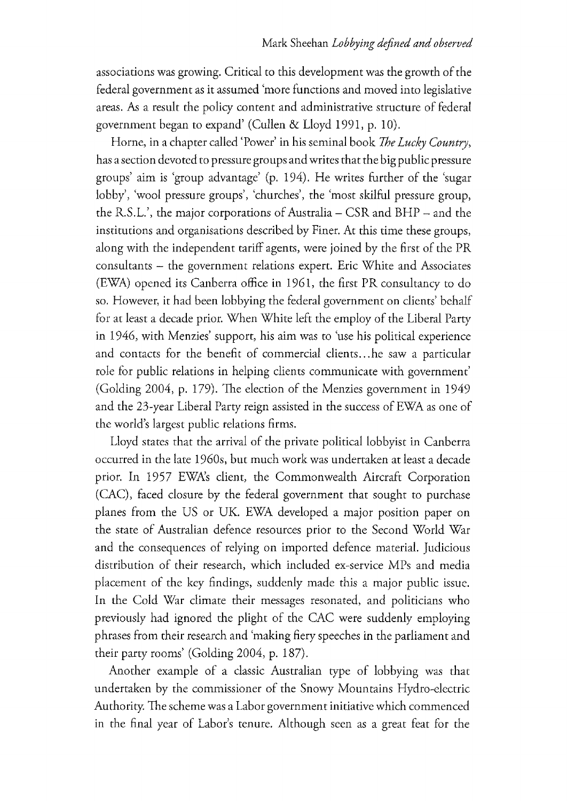associations was growing. Critical to this development was the growth of the federal government as it assumed 'more functions and moved into legislative areas. As a result the policy content and administrative structure of federal government began to expand' (Cullen & Lloyd 1991, p. 10).

Horne, in a chapter called 'Power' in his seminal book The Lucky Country, has a section devoted to pressure groups and writes that the big public pressure groups'aim is 'group advantage'(p. 194). He writes further of the 'sugar lobby', 'wool pressure groups', 'churches', the 'most skilful pressure group, the R.S.L.', the major corporations of Australia  $-$  CSR and BHP  $-$  and the institutions and organisations described by Finer. At this time these groups, along with the independent tariff agents, were joined by the first of the PR consultants  $-$  the government relations expert. Eric White and Associates (EWA) opened its Canberra office in 1961, the first PR consultancy to do so. However, it had been lobbying the federal government on clients' behalf for at least a decade prior. When White left the employ of the Liberal Party in 1946, with Menzies' support, his aim was to 'use his political experience and contacts for the benefit of commercial clients... he saw a particular role for public relations in helping clients communicate with government' (Golding 2004, p. 179). The election of the Menzies government in 1949 and the 23-year Liberal Party reign assisted in the success of EWA as one of the world's largest public relations firms.

Lloyd states that the arrival of the private political lobbyist in Canberra occurred in the late 1960s, but much work was undertaken at least a decade prior. In 1957 EWA's client, the Commonwealth Aircraft Corporation (CAC), faced closure by the federal government that sought to purchase planes from the US or UK. EWA developed a major position paper on the state of Australian defence resources prior to the Second World War and the consequences of relying on imported defence material. Judicious distribution of their research, which included ex-service MPs and media placement of the key findings, suddenly made this a major public issue. In the Cold War climate their messages resonated, and politicians who previously had ignored the plight of the CAC were suddenly employing phrases from their research and 'making fiery speeches in the parliament and their party rooms'(Golding 2004, p. 187).

Another example of a classic Australian type of lobbying was that undertaken by the commissioner of the Snowy Mountains Hydro-electric Authority. The scheme was a Labor government initiative which commenced in the final year of Labor's tenure. Although seen as a great feat for the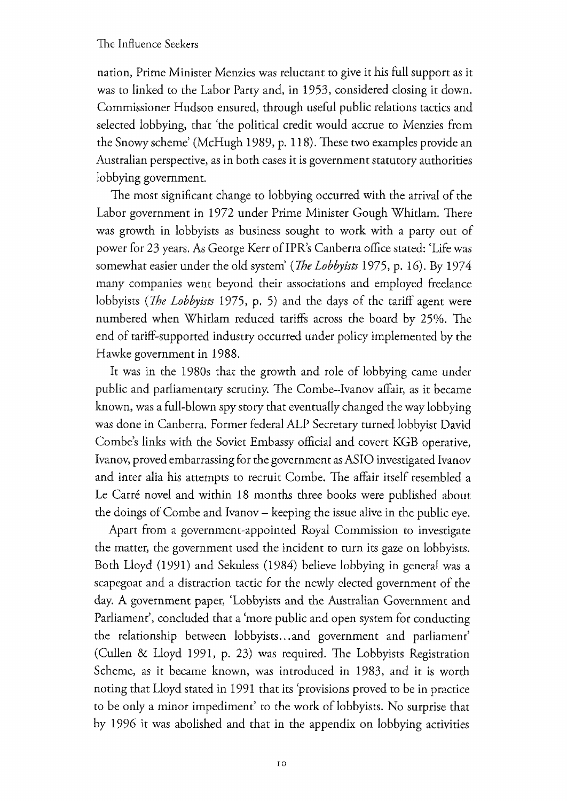nation, Prime Minister Menzies was reluctant to give it his full support as it was to linked to the Labor Party and, in 1953, considered closing it down. Commissioner Hudson ensured, through useful public relations tactics and selected lobbying, that 'the political credit would accrue to Menzies from the Snowy scheme' (McHugh 1989, p. 118). These two examples provide an Australian perspective, as in both cases it is government statutory authorities lobbying government.

The most significant change to lobbying occurred with the arrival of the Labor government in 1972 under Prime Minister Gough Whitlam. There was growth in lobbyists as business sought to work with a party out of power for 23 years. As George Kerr of IPR's Canberra office stated: 'Life was somewhat easier under the old system' (The Lobbyists 1975, p. 16). By 1974 many companies went beyond their associations and employed freelance lobbyists (*The Lobbyists* 1975, p. 5) and the days of the tariff agent were numbered when Whitlam reduced tariffs across the board by 25%. The end of tariff-supported industry occurred under policy implemented by the Hawke government in 1988.

It was in the 1980s that the growth and role of lobbying came under public and parliamentary scrutiny. The Combe-Ivanov affair, as it became known, was a full-blown spy story that eventually changed the way lobbying was done in Canberra. Former federal ALP Secretary turned lobbyist David Combe's links with the Soviet Embassy official and covert KGB operative, Ivanov, proved embarrassing for the government as ASIO investigated Ivanov and inter alia his attempts to recruit Combe. The affair itself resembled a Le Carré novel and within 18 months three books were published about the doings of Combe and Ivanov - keeping the issue alive in the public eye.

Apart from a government-appointed Royal Commission to investigate the matter, the government used the incident to turn its gaze on lobbyists. Both Lloyd (1991) and Sekuless (1984) believe lobbying in general was a scapegoat and a distraction tactic for the newly elected government of the day. A government paper, 'Lobbyists and the Australian Government and Parliament', concluded that a 'more public and open system for conducting the relationship between lobbyists... and government and parliament' (Cullen & Lloyd 1991, p. 23) was required. The Lobbyists Registration Scheme, as it became known, was introduced in 1983, and it is worth noting that Lloyd stated in 1991 that its 'provisions proved to be in practice to be only a minor impediment' to the work of lobbyists. No surprise that by 1996 it was abolished and that in the appendix on lobbying activities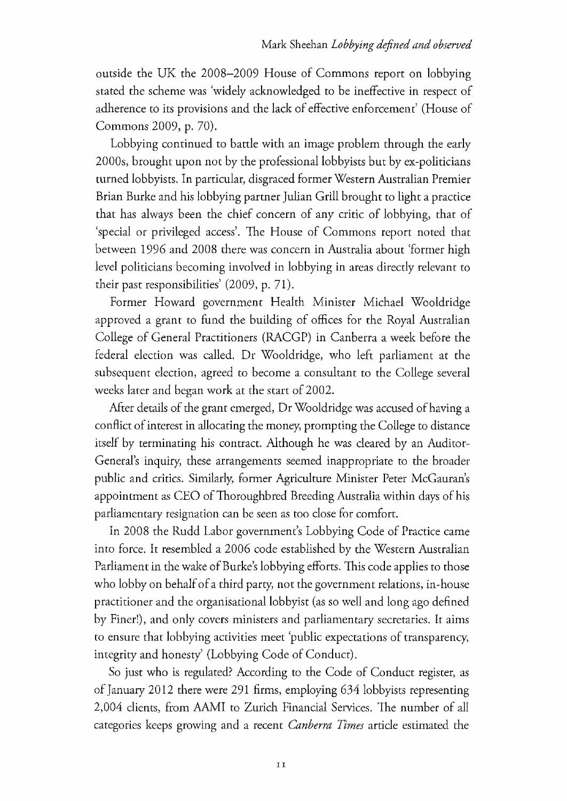outside the UK the 2008-2009 House of Commons report on lobbying stated the scheme was 'widely acknowledged to be ineffective in respect of adherence to its provisions and the lack of effective enforcement' (House of Commons2009, p. 70).

Lobbying continued to battle with an image problem through the early 2000s, brought upon not by the professional lobbyists but by ex-politicians turned lobbyists. In particular, disgraced former Western Australian Premier Brian Burke and his lobbying partner Julian Grill brought to light a practice that has always been the chief concern of any critic of lobbying, that of 'special or privileged access'. The House of Commons report noted that between 1996 and 2008 there was concern in Australia about 'former high level politicians becoming involved in lobbying in areas directly relevant to their past responsibilities' (2009, p. 71).

Former Howard government Health Minister Michael Wooldridge approved a grant to fund the building of offices for the Royal Australian College of General Practitioners (RACGP) in Canberra a week before the federal election was called. Dr Wooldridge, who left parliament at the subsequent election, agreed to become a consultant to the College several weeks later and began work at the start of 2002.

After details of the grant emerged, Dr Wooldridge was accused of having a conflict of interest in allocating the money, prompting the College to distance itself by terminating his contract. Although he was cleared by an Auditor-General's inquiry, these arrangements seemed inappropriate to the broader public and critics. Similarly, former Agriculture Minister Peter McGauran's appointment as CEO of Thoroughbred Breeding Australia within days of his parliamentary resignation can be seen as too close for comfort.

In 2008 the Rudd Labor government's Lobbying Code of Practice came into force. It resembled a 2006 code established by the Western Australian Parliament in the wake of Burke's lobbying efforts. This code applies to those who lobby on behalf of a third party, not the government relations, in-house practitioner and the organisational lobbyist (as so well and long ago defined by Finer!), and only covers ministers and parliamentary secretaries. It aims to ensure that lobbying activities meet 'public expectations of transparency, integrity and honesty' (Lobbying Code of Conduct).

So just who is regulated? According to the Code of Conduct register, as of January 2012 there were 291 firms, employing 634 lobbyists representing 2,004 clients, from AAMI to Zurich Financial Services. The number of all categories keeps growing and a recent *Canberra Times* article estimated the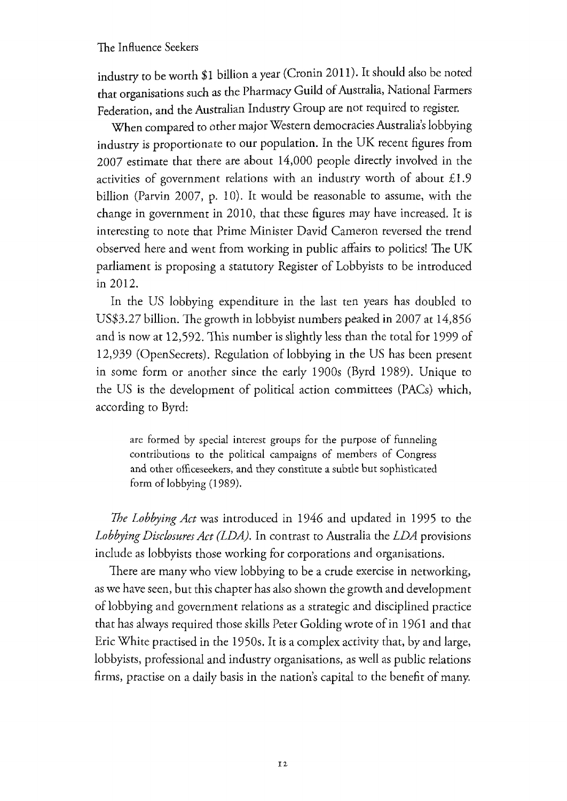industry to be worth \$1 billion a year (Cronin 2011). It should also be noted that organisations such as the Pharmacy Guild of Australia, National Farmers Federation, and the Australian Industry Group are not required to register.

When compared to other major Western democracies Australia's lobbying industry is proportionate to our population. In the UK recent figures from  $2007$  estimate that there are about  $14,000$  people directly involved in the activities of government relations with an industry worth of about  $£1.9$ billion (Parvin 2007, p. 10). It would be reasonable to assume, with the change in government in 2010, that these figures may have increased. It is interesting to note that Prime Minister David Cameron reversed the trend observed here and went from working in public affairs to politics! The UK parliament is proposing a statutory Register of Lobbyists to be introduced in 2012.

In the US lobbying expenditure in the last ten years has doubled to US\$3.27 billion. The growth in lobbyist numbers peaked in 2007 at 14,856 and is now at 12,592. This number is slightly less than the total for 1999 of 12,939 (OpenSecrets). Regulation of lobbying in the US has been present in some form or another since the early 1900s (Byrd 1989). Unique to the US is the development of political action committees (PACs) which, according to Byrd:

are formed by special interest groups for the purpose of funneling contributions to the political campaigns of members of Congress and other officeseekers, and they constitute a subtle but sophisticated form of lobbying (1989).

The Lobbying Act was introduced in 1946 and updated in 1995 to the Lobbying Disclosures Act (LDA). In contrast to Australia the LDA provisions include as lobbyists those working for corporations and organisations.

There are many who view lobbying to be a crude exercise in networking, as we have seen, but this chapter has also shown the growth and development of lobbying and government relations as a strategic and disciplined practice that has always required those skills Peter Golding wrote of in 1961 and that Eric White practised in the 1950s. It is a complex activity that, by and large, lobbyists, professional and industry organisations, as well as public relations firms, practise on a daily basis in the nation's capital to the benefit of many.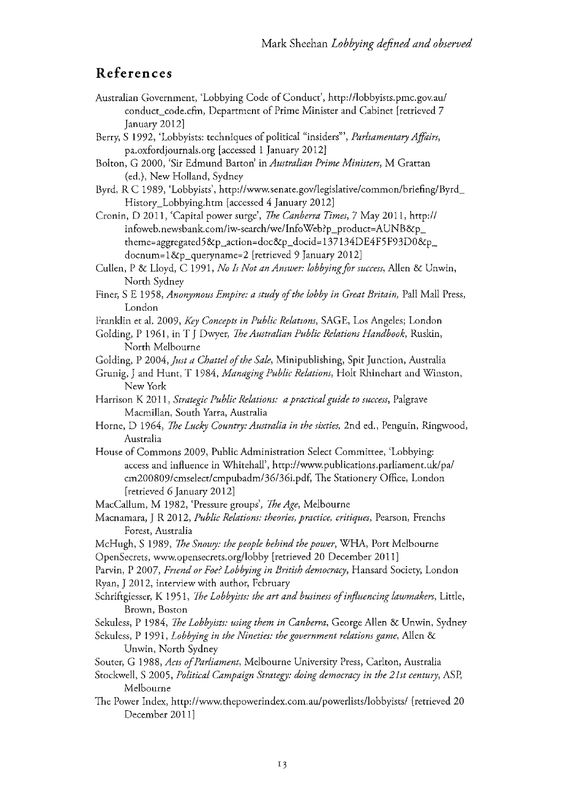# References

- Australian Government, 'Lobbying Code of Conduct', http://lobbyists.pmc.gov.au/ conduct\_code.cfm, Department of Prime Minister and Cabinet [retrieved 7 January2012]
- Berry, S 1992, 'Lobbyists: techniques of political "insiders"', Parliamentary Affairs, pa.oxfordjournals.org [accessed 1 January 2012]
- Bolton, G 2000, 'Sir Edmund Barton' in Australian Prime Ministers, M Grattan (ed.), New Holland, Sydney
- Byrd, R.C. 1989, 'Lobbyists', http://www.senate.gov/legislative/common/briefing/Byrd History\_Lobbying.htm [accessed 4 January 2012]
- Cronin, D 2011, 'Capital power surge', The Canberra Times, 7 May 2011, http:// infoweb.newsbank.com/iw-search/we/InfoWeb?p\_product=AUNB&p\_ theme=aggregated5&p\_action=doc&p\_docid=137134DE4F5F93DO&p\_ docnum=1&p\_queryname=2 [retrieved 9 January 2012]
- Cullen, P & Lloyd, C 1991, No Is Not an Answer: lobbying for success, Allen & Unwin, North Sydney
- Finer, S E 1958, Anonymous Empire: a study of the lobby in Great Britain, Pall Mall Press, London
- Franklin et al. 2009, Key Concepts in Public Relations, SAGE, Los Angeles; London
- Golding, P 1961, in T J Dwyer, *The Australian Public Relations Handbook*, Ruskin, North Melbourne
- Golding, P 2004, *Just a Chattel of the Sale*, Minipublishing, Spit Junction, Australia
- Grunig, J and Hunt, T 1984, Managing Public Relations, Holt Rhinehart and Winston, New York
- Harrison K 2011, Strategic Public Relations: a practical guide to success, Palgrave Macmillan, South Yarra, Australia
- Horne, D 1964, The Lucky Country: Australia in the sixties, 2nd ed., Penguin, Ringwood, Australia
- House of Commons 2009, Public Administration Select Committee, 'Lobbying: access and influence in Whitehall', http://www.publications.parliament.uk/pa/ cm200809/cmselect/cmpubadm/36/36i.pdf, The Stationery Office, London [retrieved 6 January 2012]
- MacCallum, M 1982, 'Pressure groups', The Age, Melbourne
- Macnamara, J R 2012, Public Relations: theories, practice, critiques, Pearson, Frenchs Forest, Australia
- McHugh, S 1989, The Snowy: the people behind the power, WHA, Port Melbourne OpenSecrets, www.opensecrets.org/lobby [retrieved 20 December 2011]
- Parvin, P 2007, Friend or Foe? Lobbying in British democracy, Hansard Society, London Ryan, J 2012, interview with author, February
- Schriftgiesser, K 1951, The Lobbyists: the art and business of influencing lawmakers, Little, Brown, Boston
- Sekuless, P 1984, *The Lobbyists: using them in Canberra*, George Allen & Unwin, Sydney
- Sekuless, P 1991, Lobbying in the Nineties: the government relations game, Allen & Unwin, North Sydney
- Souter, G 1988, Acts of Parliament, Melbourne University Press, Carlton, Australia
- Stockwell, S 2005, Political Campaign Strategy: doing democracy in the 21st century, ASP, Melbourne
- The Power Index, http://www.thepowerindex.com.au/powerlists/lobbyists/ [retrieved 20 December 2011]